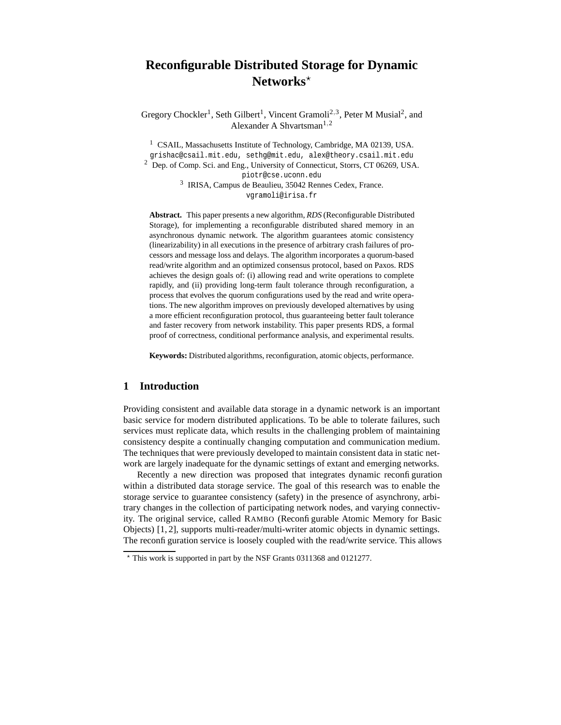# **Reconfigurable Distributed Storage for Dynamic Networks**?

Gregory Chockler<sup>1</sup>, Seth Gilbert<sup>1</sup>, Vincent Gramoli<sup>2,3</sup>, Peter M Musial<sup>2</sup>, and Alexander A Shvartsman<sup>1,2</sup>

<sup>1</sup> CSAIL, Massachusetts Institute of Technology, Cambridge, MA 02139, USA. grishac@csail.mit.edu, sethg@mit.edu, alex@theory.csail.mit.edu <sup>2</sup> Dep. of Comp. Sci. and Eng., University of Connecticut, Storrs, CT 06269, USA. piotr@cse.uconn.edu <sup>3</sup> IRISA, Campus de Beaulieu, 35042 Rennes Cedex, France.

vgramoli@irisa.fr

**Abstract.** This paper presents a new algorithm, *RDS* (Reconfigurable Distributed Storage), for implementing a reconfigurable distributed shared memory in an asynchronous dynamic network. The algorithm guarantees atomic consistency (linearizability) in all executions in the presence of arbitrary crash failures of processors and message loss and delays. The algorithm incorporates a quorum-based read/write algorithm and an optimized consensus protocol, based on Paxos. RDS achieves the design goals of: (i) allowing read and write operations to complete rapidly, and (ii) providing long-term fault tolerance through reconfiguration, a process that evolves the quorum configurations used by the read and write operations. The new algorithm improves on previously developed alternatives by using a more efficient reconfiguration protocol, thus guaranteeing better fault tolerance and faster recovery from network instability. This paper presents RDS, a formal proof of correctness, conditional performance analysis, and experimental results.

**Keywords:** Distributed algorithms, reconfiguration, atomic objects, performance.

#### **1 Introduction**

Providing consistent and available data storage in a dynamic network is an important basic service for modern distributed applications. To be able to tolerate failures, such services must replicate data, which results in the challenging problem of maintaining consistency despite a continually changing computation and communication medium. The techniques that were previously developed to maintain consistent data in static network are largely inadequate for the dynamic settings of extant and emerging networks.

Recently a new direction was proposed that integrates dynamic reconfiguration within a distributed data storage service. The goal of this research was to enable the storage service to guarantee consistency (safety) in the presence of asynchrony, arbitrary changes in the collection of participating network nodes, and varying connectivity. The original service, called RAMBO (Reconfigurable Atomic Memory for Basic Objects) [1, 2], supports multi-reader/multi-writer atomic objects in dynamic settings. The reconfiguration service is loosely coupled with the read/write service. This allows

<sup>?</sup> This work is supported in part by the NSF Grants 0311368 and 0121277.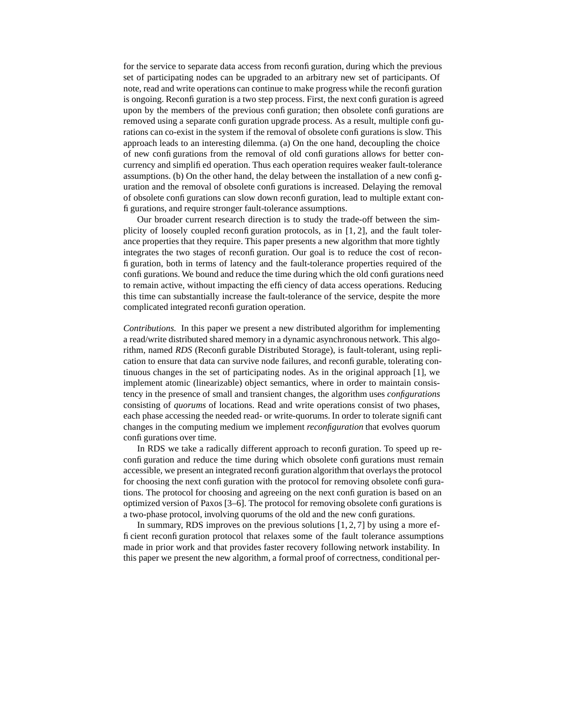for the service to separate data access from reconfiguration, during which the previous set of participating nodes can be upgraded to an arbitrary new set of participants. Of note, read and write operations can continue to make progress while the reconfiguration is ongoing. Reconfiguration is a two step process. First, the next configuration is agreed upon by the members of the previous configuration; then obsolete configurations are removed using a separate configuration upgrade process. As a result, multiple configurations can co-exist in the system if the removal of obsolete configurations is slow. This approach leads to an interesting dilemma. (a) On the one hand, decoupling the choice of new configurations from the removal of old configurations allows for better concurrency and simplified operation. Thus each operation requires weaker fault-tolerance assumptions. (b) On the other hand, the delay between the installation of a new configuration and the removal of obsolete configurations is increased. Delaying the removal of obsolete configurations can slow down reconfiguration, lead to multiple extant configurations, and require stronger fault-tolerance assumptions.

Our broader current research direction is to study the trade-off between the simplicity of loosely coupled reconfiguration protocols, as in [1, 2], and the fault tolerance properties that they require. This paper presents a new algorithm that more tightly integrates the two stages of reconfiguration. Our goal is to reduce the cost of reconfiguration, both in terms of latency and the fault-tolerance properties required of the configurations. We bound and reduce the time during which the old configurations need to remain active, without impacting the efficiency of data access operations. Reducing this time can substantially increase the fault-tolerance of the service, despite the more complicated integrated reconfiguration operation.

*Contributions.* In this paper we present a new distributed algorithm for implementing a read/write distributed shared memory in a dynamic asynchronous network. This algorithm, named *RDS* (Reconfigurable Distributed Storage), is fault-tolerant, using replication to ensure that data can survive node failures, and reconfigurable, tolerating continuous changes in the set of participating nodes. As in the original approach [1], we implement atomic (linearizable) object semantics, where in order to maintain consistency in the presence of small and transient changes, the algorithm uses *configurations* consisting of *quorums* of locations. Read and write operations consist of two phases, each phase accessing the needed read- or write-quorums. In order to tolerate significant changes in the computing medium we implement *reconfiguration* that evolves quorum configurations over time.

In RDS we take a radically different approach to reconfiguration. To speed up reconfiguration and reduce the time during which obsolete configurations must remain accessible, we present an integrated reconfiguration algorithm that overlaysthe protocol for choosing the next configuration with the protocol for removing obsolete configurations. The protocol for choosing and agreeing on the next configuration is based on an optimized version of Paxos [3–6]. The protocol for removing obsolete configurations is a two-phase protocol, involving quorums of the old and the new configurations.

In summary, RDS improves on the previous solutions  $[1, 2, 7]$  by using a more efficient reconfiguration protocol that relaxes some of the fault tolerance assumptions made in prior work and that provides faster recovery following network instability. In this paper we present the new algorithm, a formal proof of correctness, conditional per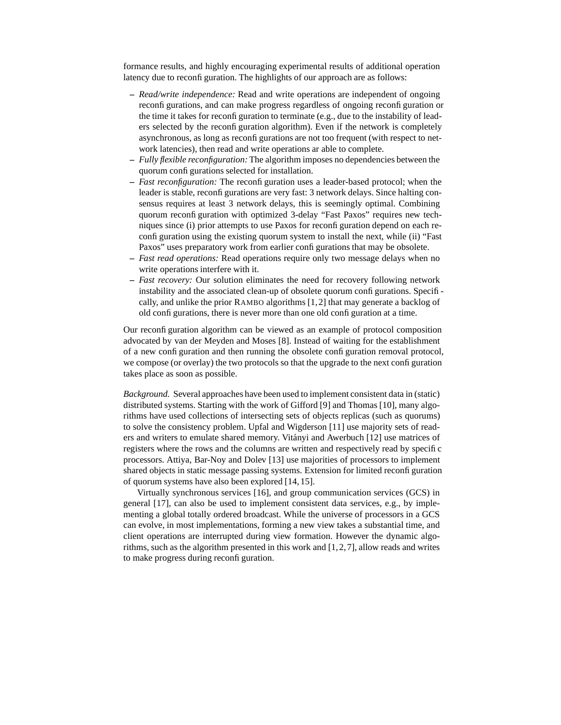formance results, and highly encouraging experimental results of additional operation latency due to reconfiguration. The highlights of our approach are as follows:

- **–** *Read/write independence:* Read and write operations are independent of ongoing reconfigurations, and can make progress regardless of ongoing reconfiguration or the time it takes for reconfiguration to terminate (e.g., due to the instability of leaders selected by the reconfiguration algorithm). Even if the network is completely asynchronous, as long as reconfigurations are not too frequent (with respect to network latencies), then read and write operations ar able to complete.
- **–** *Fully flexible reconfiguration:* The algorithm imposes no dependencies between the quorum configurations selected for installation.
- **–** *Fast reconfiguration:* The reconfiguration uses a leader-based protocol; when the leader is stable, reconfigurations are very fast: 3 network delays. Since halting consensus requires at least 3 network delays, this is seemingly optimal. Combining quorum reconfiguration with optimized 3-delay "Fast Paxos" requires new techniques since (i) prior attempts to use Paxos for reconfiguration depend on each reconfiguration using the existing quorum system to install the next, while (ii) "Fast Paxos" uses preparatory work from earlier configurations that may be obsolete.
- **–** *Fast read operations:* Read operations require only two message delays when no write operations interfere with it.
- **–** *Fast recovery:* Our solution eliminates the need for recovery following network instability and the associated clean-up of obsolete quorum configurations. Specifically, and unlike the prior RAMBO algorithms [1,2] that may generate a backlog of old configurations, there is never more than one old configuration at a time.

Our reconfiguration algorithm can be viewed as an example of protocol composition advocated by van der Meyden and Moses [8]. Instead of waiting for the establishment of a new configuration and then running the obsolete configuration removal protocol, we compose (or overlay) the two protocols so that the upgrade to the next configuration takes place as soon as possible.

*Background.* Several approaches have been used to implement consistent data in (static) distributed systems. Starting with the work of Gifford [9] and Thomas [10], many algorithms have used collections of intersecting sets of objects replicas (such as quorums) to solve the consistency problem. Upfal and Wigderson [11] use majority sets of readers and writers to emulate shared memory. Vitányi and Awerbuch [12] use matrices of registers where the rows and the columns are written and respectively read by specific processors. Attiya, Bar-Noy and Dolev [13] use majorities of processors to implement shared objects in static message passing systems. Extension for limited reconfiguration of quorum systems have also been explored [14, 15].

Virtually synchronous services [16], and group communication services (GCS) in general [17], can also be used to implement consistent data services, e.g., by implementing a global totally ordered broadcast. While the universe of processors in a GCS can evolve, in most implementations, forming a new view takes a substantial time, and client operations are interrupted during view formation. However the dynamic algorithms, such as the algorithm presented in this work and [1,2,7], allow reads and writes to make progress during reconfiguration.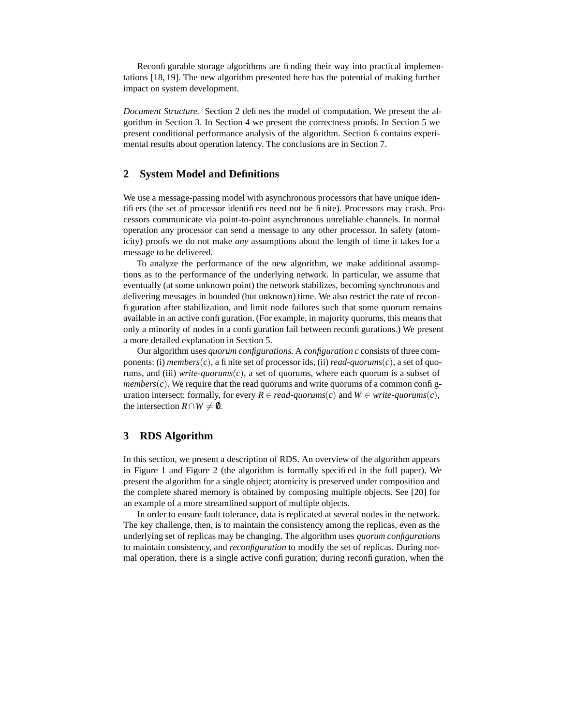Reconfigurable storage algorithms are finding their way into practical implementations [18, 19]. The new algorithm presented here has the potential of making further impact on system development.

*Document Structure.* Section 2 defines the model of computation. We present the algorithm in Section 3. In Section 4 we present the correctness proofs. In Section 5 we present conditional performance analysis of the algorithm. Section 6 contains experimental results about operation latency. The conclusions are in Section 7.

# **2 System Model and Definitions**

We use a message-passing model with asynchronous processors that have unique identifiers (the set of processor identifiers need not be finite). Processors may crash. Processors communicate via point-to-point asynchronous unreliable channels. In normal operation any processor can send a message to any other processor. In safety (atomicity) proofs we do not make *any* assumptions about the length of time it takes for a message to be delivered.

To analyze the performance of the new algorithm, we make additional assumptions as to the performance of the underlying network. In particular, we assume that eventually (at some unknown point) the network stabilizes, becoming synchronous and delivering messages in bounded (but unknown) time. We also restrict the rate of reconfiguration after stabilization, and limit node failures such that some quorum remains available in an active configuration. (For example, in majority quorums, this means that only a minority of nodes in a configuration fail between reconfigurations.) We present a more detailed explanation in Section 5.

Our algorithm uses *quorum configurations*. A *configuration c* consists of three components: (i) *members*(*c*), a finite set of processor ids, (ii) *read-quorums*(*c*), a set of quorums, and (iii) *write-quorums*(*c*), a set of quorums, where each quorum is a subset of *members* $(c)$ . We require that the read quorums and write quorums of a common configuration intersect: formally, for every  $R \in read\text{-}quorms(c)$  and  $W \in write\text{-}quorms(c)$ , the intersection  $R \cap W \neq \emptyset$ .

# **3 RDS Algorithm**

In this section, we present a description of RDS. An overview of the algorithm appears in Figure 1 and Figure 2 (the algorithm is formally specified in the full paper). We present the algorithm for a single object; atomicity is preserved under composition and the complete shared memory is obtained by composing multiple objects. See [20] for an example of a more streamlined support of multiple objects.

In order to ensure fault tolerance, data is replicated at several nodes in the network. The key challenge, then, is to maintain the consistency among the replicas, even as the underlying set of replicas may be changing. The algorithm uses *quorum configurations* to maintain consistency, and *reconfiguration* to modify the set of replicas. During normal operation, there is a single active configuration; during reconfiguration, when the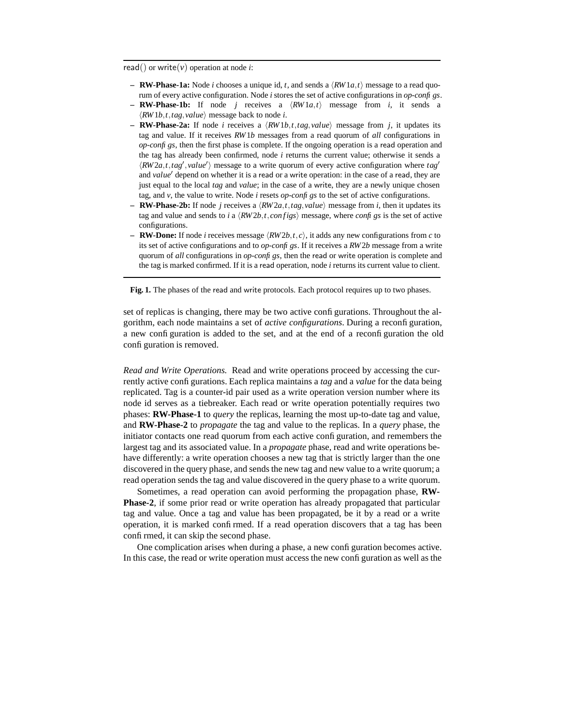read() or write(*v*) operation at node *i*:

- **– RW-Phase-1a:** Node *i* chooses a unique id, *t*, and sends a  $\langle RWA, t \rangle$  message to a read quorum of every active configuration. Node *i* stores the set of active configurations in *op-configs*. **RW-Phase-1b:** If node *j* receives a  $\langle RW1a,t \rangle$  message from *i*, it sends a
- $\langle RW1b, t, tag, value \rangle$  message back to node *i*.
- **RW-Phase-2a:** If node *i* receives a  $\langle RW1b, t, tag, value \rangle$  message from *j*, it updates its tag and value. If it receives *RW*1*b* messages from a read quorum of *all* configurations in *op-configs*, then the first phase is complete. If the ongoing operation is a read operation and the tag has already been confirmed, node *i* returns the current value; otherwise it sends a  $\langle RW2a,t,tag',value' \rangle$  message to a write quorum of every active configuration where  $tag'$ and *value*<sup>'</sup> depend on whether it is a read or a write operation: in the case of a read, they are just equal to the local *tag* and *value*; in the case of a write, they are a newly unique chosen tag, and *v*, the value to write. Node *i* resets *op-configs* to the set of active configurations.
- **RW-Phase-2b:** If node *j* receives a  $\langle RW2a, t, tag, value \rangle$  message from *i*, then it updates its tag and value and sends to *i* a  $\langle RW2b, t, configs \rangle$  message, where *configs* is the set of active configurations.
- **– RW-Done:** If node *i* receives message  $\langle RW2b, t, c \rangle$ , it adds any new configurations from *c* to its set of active configurations and to *op-configs*. If it receives a *RW*2*b* message from a write quorum of *all* configurations in *op-configs*, then the read or write operation is complete and the tag is marked confirmed. If it is a read operation, node *i* returns its current value to client.

**Fig. 1.** The phases of the read and write protocols. Each protocol requires up to two phases.

set of replicas is changing, there may be two active configurations. Throughout the algorithm, each node maintains a set of *active configurations*. During a reconfiguration, a new configuration is added to the set, and at the end of a reconfiguration the old configuration is removed.

*Read and Write Operations.* Read and write operations proceed by accessing the currently active configurations. Each replica maintains a *tag* and a *value* for the data being replicated. Tag is a counter-id pair used as a write operation version number where its node id serves as a tiebreaker. Each read or write operation potentially requires two phases: **RW-Phase-1** to *query* the replicas, learning the most up-to-date tag and value, and **RW-Phase-2** to *propagate* the tag and value to the replicas. In a *query* phase, the initiator contacts one read quorum from each active configuration, and remembers the largest tag and its associated value. In a *propagate* phase, read and write operations behave differently: a write operation chooses a new tag that is strictly larger than the one discovered in the query phase, and sends the new tag and new value to a write quorum; a read operation sends the tag and value discovered in the query phase to a write quorum.

Sometimes, a read operation can avoid performing the propagation phase, **RW-Phase-2**, if some prior read or write operation has already propagated that particular tag and value. Once a tag and value has been propagated, be it by a read or a write operation, it is marked confirmed. If a read operation discovers that a tag has been confirmed, it can skip the second phase.

One complication arises when during a phase, a new configuration becomes active. In this case, the read or write operation must access the new configuration as well as the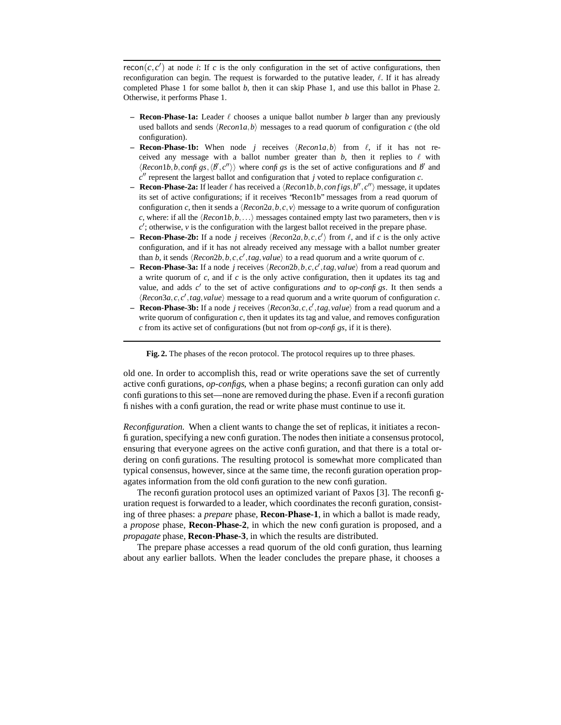$recon(c, c')$  at node *i*: If *c* is the only configuration in the set of active configurations, then reconfiguration can begin. The request is forwarded to the putative leader,  $\ell$ . If it has already completed Phase 1 for some ballot *b*, then it can skip Phase 1, and use this ballot in Phase 2. Otherwise, it performs Phase 1.

- **– Recon-Phase-1a:** Leader  $\ell$  chooses a unique ballot number *b* larger than any previously used ballots and sends  $\langle Recon1a,b\rangle$  messages to a read quorum of configuration *c* (the old configuration).
- **– Recon-Phase-1b:** When node *j* receives  $\langle Recon1a,b \rangle$  from  $\ell$ , if it has not received any message with a ballot number greater than  $b$ , then it replies to  $\ell$  with  $\langle Recon1b, b, confi gs, \langle b', c'' \rangle \rangle$  where *configs* is the set of active configurations and *b*<sup>*l*</sup> and  $c''$  represent the largest ballot and configuration that *j* voted to replace configuration  $c$ .
- **– Recon-Phase-2a:** If leader  $\ell$  has received a  $\langle Recon1b, b, configs, b'', c'' \rangle$  message, it updates its set of active configurations; if it receives "Recon1b" messages from a read quorum of configuration *c*, then it sends a  $\langle Recon2a, b, c, v \rangle$  message to a write quorum of configuration *c*, where: if all the  $\langle Recon1b, b, \ldots \rangle$  messages contained empty last two parameters, then *v* is  $c'$ ; otherwise,  $v$  is the configuration with the largest ballot received in the prepare phase.
- **– Recon-Phase-2b:** If a node *j* receives  $\langle Recon2a, b, c, c' \rangle$  from  $\ell$ , and if *c* is the only active configuration, and if it has not already received any message with a ballot number greater than *b*, it sends  $\langle Recon2b, b, c, c', tag, value \rangle$  to a read quorum and a write quorum of *c*.
- **– Recon-Phase-3a:** If a node *j* receives  $\langle Recon2b, b, c, c', tag, value \rangle$  from a read quorum and a write quorum of  $c$ , and if  $c$  is the only active configuration, then it updates its tag and value, and adds c' to the set of active configurations *and* to op-configs. It then sends a  $\langle Recon3a, c, c', tag, value \rangle$  message to a read quorum and a write quorum of configuration *c*.
- **– Recon-Phase-3b:** If a node *j* receives  $\langle Recon3a, c, c', tag, value \rangle$  from a read quorum and a write quorum of configuration *c*, then it updates its tag and value, and removes configuration *c* from its active set of configurations (but not from *op-configs*, if it is there).

**Fig. 2.** The phases of the recon protocol. The protocol requires up to three phases.

old one. In order to accomplish this, read or write operations save the set of currently active configurations, *op-configs*, when a phase begins; a reconfiguration can only add configurationsto this set—none are removed during the phase. Even if a reconfiguration finishes with a configuration, the read or write phase must continue to use it.

*Reconfiguration.* When a client wants to change the set of replicas, it initiates a reconfiguration,specifying a new configuration. The nodes then initiate a consensus protocol, ensuring that everyone agrees on the active configuration, and that there is a total ordering on configurations. The resulting protocol is somewhat more complicated than typical consensus, however, since at the same time, the reconfiguration operation propagates information from the old configuration to the new configuration.

The reconfiguration protocol uses an optimized variant of Paxos [3]. The reconfiguration request is forwarded to a leader, which coordinates the reconfiguration, consisting of three phases: a *prepare* phase, **Recon-Phase-1**, in which a ballot is made ready, a *propose* phase, **Recon-Phase-2**, in which the new configuration is proposed, and a *propagate* phase, **Recon-Phase-3**, in which the results are distributed.

The prepare phase accesses a read quorum of the old configuration, thus learning about any earlier ballots. When the leader concludes the prepare phase, it chooses a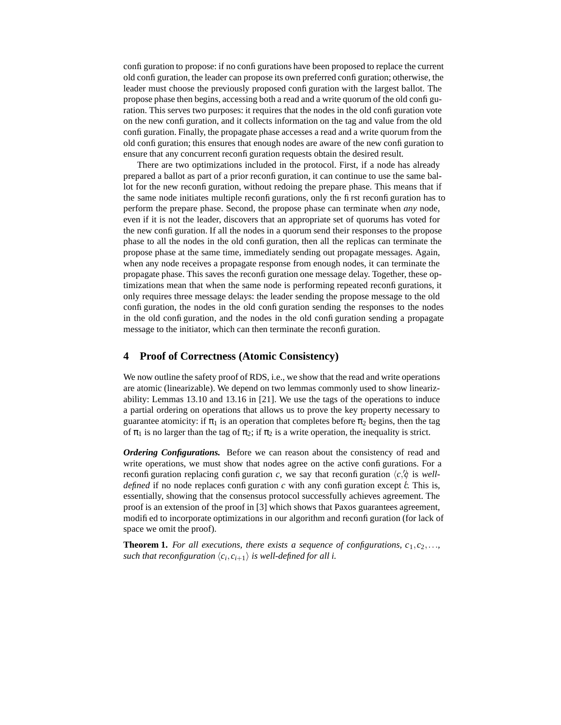configuration to propose: if no configurations have been proposed to replace the current old configuration, the leader can propose its own preferred configuration; otherwise, the leader must choose the previously proposed configuration with the largest ballot. The propose phase then begins, accessing both a read and a write quorum of the old configuration. This serves two purposes: it requires that the nodes in the old configuration vote on the new configuration, and it collects information on the tag and value from the old configuration. Finally, the propagate phase accesses a read and a write quorum from the old configuration; this ensures that enough nodes are aware of the new configuration to ensure that any concurrent reconfiguration requests obtain the desired result.

There are two optimizations included in the protocol. First, if a node has already prepared a ballot as part of a prior reconfiguration, it can continue to use the same ballot for the new reconfiguration, without redoing the prepare phase. This means that if the same node initiates multiple reconfigurations, only the first reconfiguration has to perform the prepare phase. Second, the propose phase can terminate when *any* node, even if it is not the leader, discovers that an appropriate set of quorums has voted for the new configuration. If all the nodes in a quorum send their responses to the propose phase to all the nodes in the old configuration, then all the replicas can terminate the propose phase at the same time, immediately sending out propagate messages. Again, when any node receives a propagate response from enough nodes, it can terminate the propagate phase. This saves the reconfiguration one message delay. Together, these optimizations mean that when the same node is performing repeated reconfigurations, it only requires three message delays: the leader sending the propose message to the old configuration, the nodes in the old configuration sending the responses to the nodes in the old configuration, and the nodes in the old configuration sending a propagate message to the initiator, which can then terminate the reconfiguration.

#### **4 Proof of Correctness (Atomic Consistency)**

We now outline the safety proof of RDS, i.e., we show that the read and write operations are atomic (linearizable). We depend on two lemmas commonly used to show linearizability: Lemmas 13.10 and 13.16 in [21]. We use the tags of the operations to induce a partial ordering on operations that allows us to prove the key property necessary to guarantee atomicity: if  $\pi_1$  is an operation that completes before  $\pi_2$  begins, then the tag of  $\pi_1$  is no larger than the tag of  $\pi_2$ ; if  $\pi_2$  is a write operation, the inequality is strict.

*Ordering Configurations.* Before we can reason about the consistency of read and write operations, we must show that nodes agree on the active configurations. For a reconfiguration replacing configuration *c*, we say that reconfiguration  $\langle c, c \rangle$  is *welldefined* if no node replaces configuration  $c$  with any configuration except  $c$ . This is, essentially, showing that the consensus protocol successfully achieves agreement. The proof is an extension of the proof in [3] which shows that Paxos guarantees agreement, modified to incorporate optimizations in our algorithm and reconfiguration (for lack of space we omit the proof).

**Theorem 1.** For all executions, there exists a sequence of configurations,  $c_1, c_2, \ldots$ *such that reconfiguration*  $\langle c_i, c_{i+1} \rangle$  *is well-defined for all i.*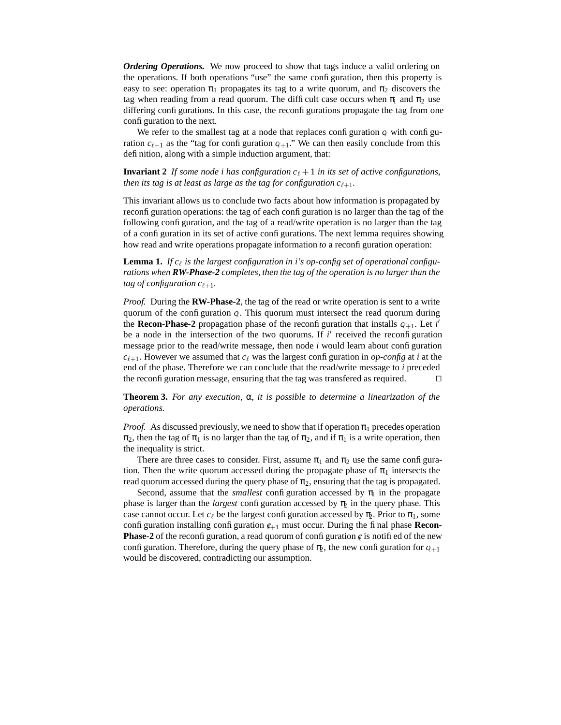*Ordering Operations.* We now proceed to show that tags induce a valid ordering on the operations. If both operations "use" the same configuration, then this property is easy to see: operation  $\pi_1$  propagates its tag to a write quorum, and  $\pi_2$  discovers the tag when reading from a read quorum. The difficult case occurs when  $\pi_1$  and  $\pi_2$  use differing configurations. In this case, the reconfigurations propagate the tag from one configuration to the next.

We refer to the smallest tag at a node that replaces configuration  $q$  with configuration  $c_{\ell+1}$  as the "tag for configuration  $q_{+1}$ ." We can then easily conclude from this definition, along with a simple induction argument, that:

**Invariant 2** If some node *i* has configuration  $c_{\ell} + 1$  *in its set* of active configurations, *then its tag is at least as large as the tag for configuration*  $c_{\ell+1}$ *.* 

This invariant allows us to conclude two facts about how information is propagated by reconfiguration operations: the tag of each configuration is no larger than the tag of the following configuration, and the tag of a read/write operation is no larger than the tag of a configuration in its set of active configurations. The next lemma requires showing how read and write operations propagate information *to* a reconfiguration operation:

**Lemma 1.** If  $c_{\ell}$  is the largest configuration in *i's op-config set of operational configurations when RW-Phase-2 completes, then the tag of the operation is no larger than the tag of configuration*  $c_{\ell+1}$ *.* 

*Proof.* During the **RW-Phase-2**, the tag of the read or write operation is sent to a write quorum of the configuration  $q$ . This quorum must intersect the read quorum during the **Recon-Phase-2** propagation phase of the reconfiguration that installs  $q_{+1}$ . Let *i* be a node in the intersection of the two quorums. If  $i'$  received the reconfiguration message prior to the read/write message, then node *i* would learn about configuration  $c_{\ell+1}$ . However we assumed that  $c_{\ell}$  was the largest configuration in *op-config* at *i* at the end of the phase. Therefore we can conclude that the read/write message to *i* preceded the reconfiguration message, ensuring that the tag was transferred as required.  $\Box$ 

**Theorem 3.** *For any execution,* α*, it is possible to determine a linearization of the operations.*

*Proof.* As discussed previously, we need to show that if operation  $\pi_1$  precedes operation  $\pi_2$ , then the tag of  $\pi_1$  is no larger than the tag of  $\pi_2$ , and if  $\pi_1$  is a write operation, then the inequality is strict.

There are three cases to consider. First, assume  $\pi_1$  and  $\pi_2$  use the same configuration. Then the write quorum accessed during the propagate phase of  $\pi_1$  intersects the read quorum accessed during the query phase of  $\pi_2$ , ensuring that the tag is propagated.

Second, assume that the *smallest* configuration accessed by  $\pi$  in the propagate phase is larger than the *largest* configuration accessed by π<sub>2</sub> in the query phase. This case cannot occur. Let  $c_\ell$  be the largest configuration accessed by  $\pi$ <sub>2</sub>. Prior to  $\pi_1$ , some configuration installing configuration  $q_{+1}$  must occur. During the final phase **Recon-Phase-2** of the reconfiguration, a read quorum of configuration  $\ell$  is notified of the new configuration. Therefore, during the query phase of  $\pi$ <sub>2</sub>, the new configuration for  $q_{+1}$ would be discovered, contradicting our assumption.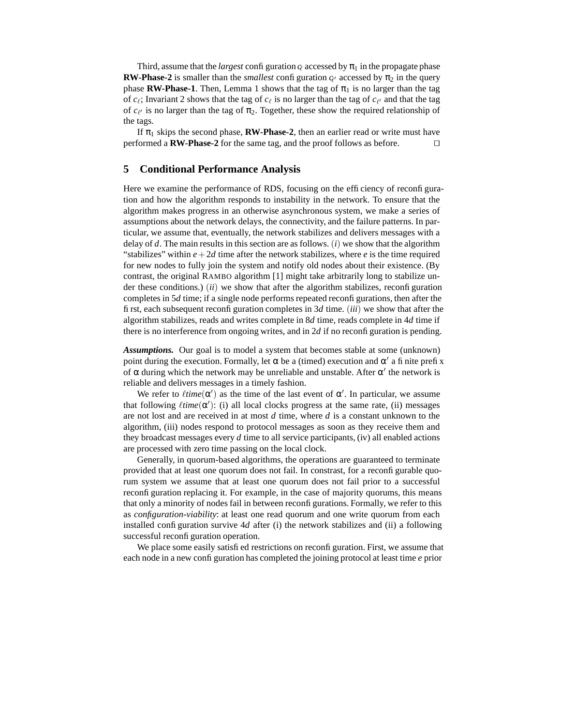Third, assume that the *largest* configuration  $\varphi$  accessed by  $\pi_1$  in the propagate phase **RW-Phase-2** is smaller than the *smallest* configuration  $c_V$  accessed by  $\pi_2$  in the query phase **RW-Phase-1**. Then, Lemma 1 shows that the tag of  $\pi_1$  is no larger than the tag of  $c_{\ell}$ ; Invariant 2 shows that the tag of  $c_{\ell}$  is no larger than the tag of  $c_{\ell'}$  and that the tag of  $c_{\ell'}$  is no larger than the tag of  $\pi_2$ . Together, these show the required relationship of the tags.

If  $\pi_1$  skips the second phase, **RW-Phase-2**, then an earlier read or write must have performed a **RW-Phase-2** for the same tag, and the proof follows as before.  $\Box$ 

#### **5 Conditional Performance Analysis**

Here we examine the performance of RDS, focusing on the efficiency of reconfiguration and how the algorithm responds to instability in the network. To ensure that the algorithm makes progress in an otherwise asynchronous system, we make a series of assumptions about the network delays, the connectivity, and the failure patterns. In particular, we assume that, eventually, the network stabilizes and delivers messages with a delay of *d*. The main results in this section are as follows. (*i*) we show that the algorithm "stabilizes" within  $e+2d$  time after the network stabilizes, where *e* is the time required for new nodes to fully join the system and notify old nodes about their existence. (By contrast, the original RAMBO algorithm [1] might take arbitrarily long to stabilize under these conditions.) (*ii*) we show that after the algorithm stabilizes, reconfiguration completes in 5*d* time; if a single node performs repeated reconfigurations, then after the first, each subsequent reconfiguration completes in  $3d$  time. (*iii*) we show that after the algorithm stabilizes, reads and writes complete in 8*d* time, reads complete in 4*d* time if there is no interference from ongoing writes, and in  $2d$  if no reconfiguration is pending.

*Assumptions.* Our goal is to model a system that becomes stable at some (unknown) point during the execution. Formally, let  $\alpha$  be a (timed) execution and  $\alpha'$  a fi nite prefix of  $\alpha$  during which the network may be unreliable and unstable. After  $\alpha'$  the network is reliable and delivers messages in a timely fashion.

We refer to  $\ell$ *time*( $\alpha'$ ) as the time of the last event of  $\alpha'$ . In particular, we assume that following  $\ell$ *time*( $\alpha'$ ): (i) all local clocks progress at the same rate, (ii) messages are not lost and are received in at most *d* time, where *d* is a constant unknown to the algorithm, (iii) nodes respond to protocol messages as soon as they receive them and they broadcast messages every *d* time to all service participants, (iv) all enabled actions are processed with zero time passing on the local clock.

Generally, in quorum-based algorithms, the operations are guaranteed to terminate provided that at least one quorum does not fail. In constrast, for a reconfigurable quorum system we assume that at least one quorum does not fail prior to a successful reconfiguration replacing it. For example, in the case of majority quorums, this means that only a minority of nodes fail in between reconfigurations. Formally, we refer to this as *configuration-viability*: at least one read quorum and one write quorum from each installed configuration survive 4*d* after (i) the network stabilizes and (ii) a following successful reconfiguration operation.

We place some easily satisfied restrictions on reconfiguration. First, we assume that each node in a new configuration has completed the joining protocol at least time *e* prior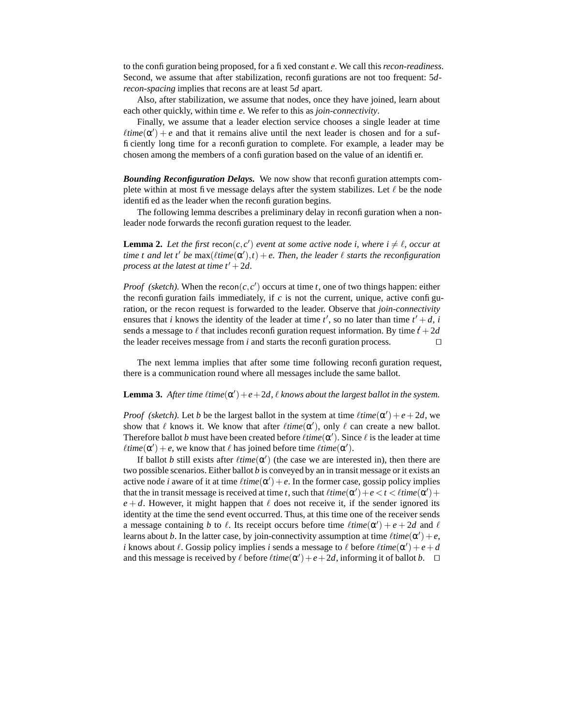to the configuration being proposed, for a fixed constant *e*. We call this *recon-readiness*. Second, we assume that after stabilization, reconfigurations are not too frequent: 5*drecon-spacing* implies that recons are at least 5*d* apart.

Also, after stabilization, we assume that nodes, once they have joined, learn about each other quickly, within time *e*. We refer to this as *join-connectivity*.

Finally, we assume that a leader election service chooses a single leader at time  $\ell$ *time*( $\alpha'$ ) + *e* and that it remains alive until the next leader is chosen and for a sufficiently long time for a reconfiguration to complete. For example, a leader may be chosen among the members of a configuration based on the value of an identifier.

*Bounding Reconfiguration Delays.* We now show that reconfiguration attempts complete within at most five message delays after the system stabilizes. Let  $\ell$  be the node identified as the leader when the reconfiguration begins.

The following lemma describes a preliminary delay in reconfiguration when a nonleader node forwards the reconfiguration request to the leader.

**Lemma 2.** Let the first recon $(c, c')$  event at some active node *i*, where  $i \neq \ell$ , occur at *time t* and let *t*<sup> $\prime$ </sup> *be* max( $\ell$ *time*( $\alpha'$ ),*t*) + *e. Then, the leader*  $\ell$  *starts the reconfiguration process at the latest at time*  $t' + 2d$ *.* 

*Proof* (sketch). When the recon $(c, c')$  occurs at time *t*, one of two things happen: either the reconfiguration fails immediately, if  $c$  is not the current, unique, active configuration, or the recon request is forwarded to the leader. Observe that *join-connectivity* ensures that *i* knows the identity of the leader at time  $t'$ , so no later than time  $t' + d$ , *i* sends a message to  $\ell$  that includes reconfiguration request information. By time  $t + 2d$ the leader receives message from  $i$  and starts the reconfiguration process.  $\square$ 

The next lemma implies that after some time following reconfiguration request, there is a communication round where all messages include the same ballot.

# **Lemma 3.** After time  $\ell$ time $(\alpha') + e + 2d$ ,  $\ell$  knows about the largest ballot in the system.

*Proof* (sketch). Let *b* be the largest ballot in the system at time  $\ell$ time $(\alpha') + e + 2d$ , we show that  $\ell$  knows it. We know that after  $\ell$ *time*( $\alpha'$ ), only  $\ell$  can create a new ballot. Therefore ballot *b* must have been created before  $\ell$ *time*( $\alpha'$ ). Since  $\ell$  is the leader at time  $\ell$ *time*( $\alpha'$ ) + *e*, we know that  $\ell$  has joined before time  $\ell$ *time*( $\alpha'$ ).

If ballot *b* still exists after  $\ell$ *time*( $\alpha'$ ) (the case we are interested in), then there are two possible scenarios. Either ballot  $b$  is conveyed by an in transit message or it exists an active node *i* aware of it at time  $\ell$ *time*( $\alpha$ <sup>'</sup>) + *e*. In the former case, gossip policy implies that the in transit message is received at time *t*, such that  $\ell$ *time*( $\alpha'$ ) + *e* < *t* <  $\ell$ *time*( $\alpha'$ ) +  $e + d$ . However, it might happen that  $\ell$  does not receive it, if the sender ignored its identity at the time the send event occurred. Thus, at this time one of the receiver sends a message containing *b* to  $\ell$ . Its receipt occurs before time  $\ell$ *time*( $\alpha'$ ) + *e* + 2*d* and  $\ell$ learns about *b*. In the latter case, by join-connectivity assumption at time  $\ell$ *time*( $\alpha'$ ) + *e*, *i* knows about  $\ell$ . Gossip policy implies *i* sends a message to  $\ell$  before  $\ell$ *time*( $\alpha'$ ) +  $e$  +  $d$ and this message is received by  $\ell$  before  $\ell$ *time*( $\alpha'$ ) +  $e$  + 2*d*, informing it of ballot *b*.  $\Box$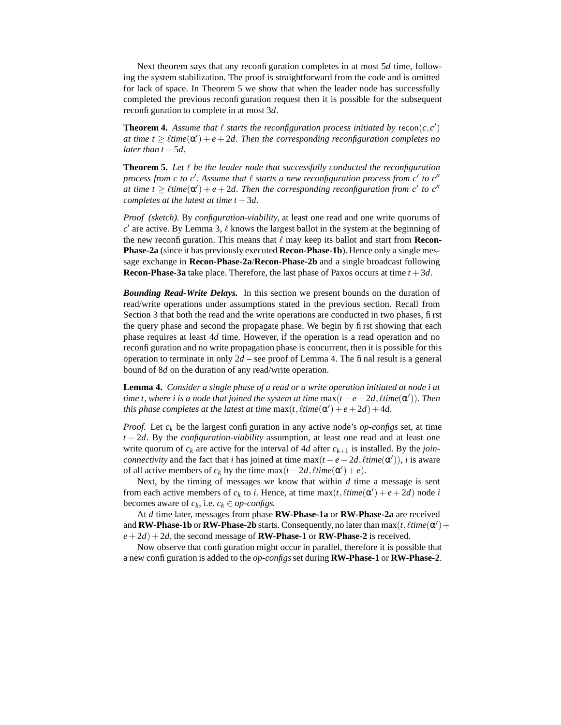Next theorem says that any reconfiguration completes in at most 5*d* time, following the system stabilization. The proof is straightforward from the code and is omitted for lack of space. In Theorem 5 we show that when the leader node has successfully completed the previous reconfiguration request then it is possible for the subsequent reconfiguration to complete in at most 3*d*.

**Theorem 4.** Assume that  $\ell$  starts the reconfiguration process initiated by recon $(c, c')$  $\alpha t$  *time*  $t \geq \ell$ *time*( $\alpha'$ ) +  $e + 2d$ . Then the corresponding reconfiguration completes no *later than*  $t + 5d$ .

**Theorem 5.** Let  $\ell$  be the leader node that successfully conducted the reconfiguration *process from c to c'. Assume that*  $\ell$  *starts a new reconfiguration process from c' to c*" *at time*  $t \geq \ell$ *time*( $\alpha'$ ) + *e* + 2*d. Then the corresponding reconfiguration from <i>c*<sup>*'*</sup> *to c*<sup>*''*</sup> *completes at the latest at time*  $t + 3d$ *.* 

*Proof (sketch).* By *configuration-viability*, at least one read and one write quorums of  $c'$  are active. By Lemma 3,  $\ell$  knows the largest ballot in the system at the beginning of the new reconfiguration. This means that  $\ell$  may keep its ballot and start from **Recon-Phase-2a** (since it has previously executed **Recon-Phase-1b**). Hence only a single message exchange in **Recon-Phase-2a**/**Recon-Phase-2b** and a single broadcast following **Recon-Phase-3a** take place. Therefore, the last phase of Paxos occurs at time  $t + 3d$ .

*Bounding Read-Write Delays.* In this section we present bounds on the duration of read/write operations under assumptions stated in the previous section. Recall from Section 3 that both the read and the write operations are conducted in two phases, first the query phase and second the propagate phase. We begin by first showing that each phase requires at least 4*d* time. However, if the operation is a read operation and no reconfiguration and no write propagation phase is concurrent, then it is possible for this operation to terminate in only  $2d$  – see proof of Lemma 4. The final result is a general bound of 8*d* on the duration of any read/write operation.

**Lemma 4.** *Consider a single phase of a read or a write operation initiated at node i at time t*, where *i is a* node *that joined the system at time*  $\max(t - e - 2d, \ell \text{time}(\alpha'))$ *. Then this phase completes at the latest at time*  $\max(t, \ell \text{time}(\alpha') + e + 2d) + 4d$ .

*Proof.* Let  $c_k$  be the largest configuration in any active node's *op-configs* set, at time *t* − 2*d*. By the *configuration-viability* assumption, at least one read and at least one write quorum of  $c_k$  are active for the interval of 4*d* after  $c_{k+1}$  is installed. By the *joinconnectivity* and the fact that *i* has joined at time  $max(t - e - 2d, \ell time(\alpha'))$ , *i* is aware of all active members of  $c_k$  by the time max $(t - 2d, \ell \text{time}(\alpha') + e)$ .

Next, by the timing of messages we know that within *d* time a message is sent from each active members of  $c_k$  to *i*. Hence, at time  $max(t, \ell \text{time}(\alpha') + e + 2d)$  node *i* becomes aware of  $c_k$ , i.e.  $c_k \in op\text{-}configs$ .

At *d* time later, messages from phase **RW-Phase-1a** or **RW-Phase-2a** are received and **RW-Phase-1b** or **RW-Phase-2b** starts. Consequently, no later than  $\max(t, \ell \text{time}(\alpha') + \alpha')$  $e+2d$  +  $2d$ , the second message of **RW-Phase-1** or **RW-Phase-2** is received.

Now observe that configuration might occur in parallel, therefore it is possible that a new configuration is added to the *op-configs*set during **RW-Phase-1** or **RW-Phase-2**.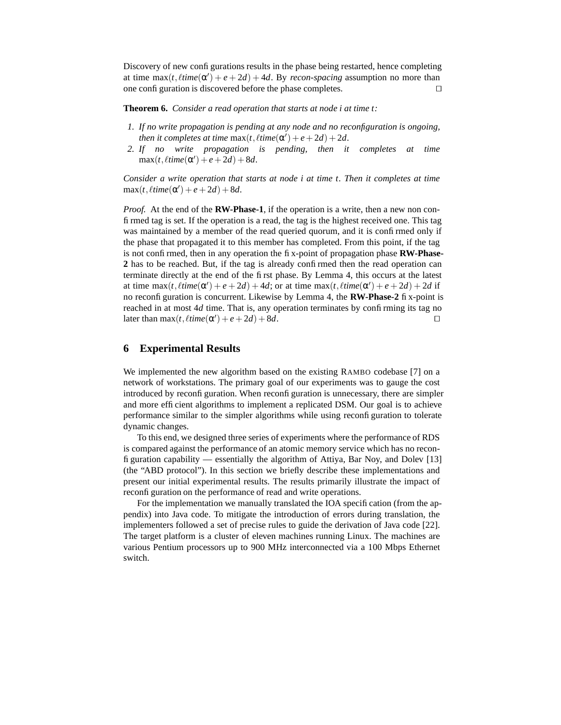Discovery of new configurations results in the phase being restarted, hence completing at time  $\max(t, \ell \text{time}(\alpha') + e + 2d) + 4d$ . By *recon-spacing* assumption no more than one configuration is discovered before the phase completes.  $\Box$ 

**Theorem 6.** *Consider a read operation that starts at node i at time t:*

- *1. If no write propagation is pending at any node and no reconfiguration is ongoing, then it completes at time*  $\max(t, \ell \text{ time}(\alpha')) + e + 2d$ .
- *2. If no write propagation is pending, then it completes at time*  $\max(t, \ell \text{time}(\alpha') + e + 2d) + 8d.$

*Consider a write operation that starts at node i at time t. Then it completes at time*  $\max(t, \ell \text{time}(\alpha') + e + 2d) + 8d.$ 

*Proof.* At the end of the **RW-Phase-1**, if the operation is a write, then a new non confirmed tag is set. If the operation is a read, the tag is the highest received one. This tag was maintained by a member of the read queried quorum, and it is confirmed only if the phase that propagated it to this member has completed. From this point, if the tag is not confirmed, then in any operation the fix-point of propagation phase **RW-Phase-2** has to be reached. But, if the tag is already confirmed then the read operation can terminate directly at the end of the first phase. By Lemma 4, this occurs at the latest at time  $\max(t, \ell \text{time}(\alpha') + e + 2d) + 4d$ ; or at time  $\max(t, \ell \text{time}(\alpha') + e + 2d) + 2d$  if no reconfiguration is concurrent. Likewise by Lemma 4, the **RW-Phase-2** fix-point is reached in at most 4*d* time. That is, any operation terminates by confirming its tag no later than  $\max(t, \ell \text{time}(\alpha') + e + 2d) + 8d$ .

#### **6 Experimental Results**

We implemented the new algorithm based on the existing RAMBO codebase [7] on a network of workstations. The primary goal of our experiments was to gauge the cost introduced by reconfiguration. When reconfiguration is unnecessary, there are simpler and more efficient algorithms to implement a replicated DSM. Our goal is to achieve performance similar to the simpler algorithms while using reconfiguration to tolerate dynamic changes.

To this end, we designed three series of experiments where the performance of RDS is compared against the performance of an atomic memory service which has no reconfiguration capability — essentially the algorithm of Attiya, Bar Noy, and Dolev [13] (the "ABD protocol"). In this section we briefly describe these implementations and present our initial experimental results. The results primarily illustrate the impact of reconfiguration on the performance of read and write operations.

For the implementation we manually translated the IOA specification (from the appendix) into Java code. To mitigate the introduction of errors during translation, the implementers followed a set of precise rules to guide the derivation of Java code [22]. The target platform is a cluster of eleven machines running Linux. The machines are various Pentium processors up to 900 MHz interconnected via a 100 Mbps Ethernet switch.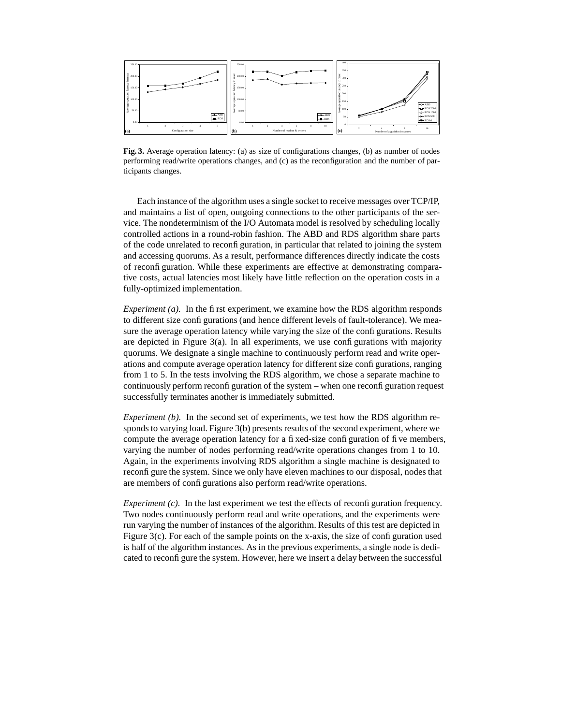

**Fig. 3.** Average operation latency: (a) as size of configurations changes, (b) as number of nodes performing read/write operations changes, and (c) as the reconfiguration and the number of participants changes.

Each instance of the algorithm uses a single socket to receive messages over TCP/IP, and maintains a list of open, outgoing connections to the other participants of the service. The nondeterminism of the I/O Automata model is resolved by scheduling locally controlled actions in a round-robin fashion. The ABD and RDS algorithm share parts of the code unrelated to reconfiguration, in particular that related to joining the system and accessing quorums. As a result, performance differences directly indicate the costs of reconfiguration. While these experiments are effective at demonstrating comparative costs, actual latencies most likely have little reflection on the operation costs in a fully-optimized implementation.

*Experiment* (*a*). In the first experiment, we examine how the RDS algorithm responds to different size configurations (and hence different levels of fault-tolerance). We measure the average operation latency while varying the size of the configurations. Results are depicted in Figure  $3(a)$ . In all experiments, we use configurations with majority quorums. We designate a single machine to continuously perform read and write operations and compute average operation latency for different size configurations, ranging from 1 to 5. In the tests involving the RDS algorithm, we chose a separate machine to continuously perform reconfiguration of the system – when one reconfiguration request successfully terminates another is immediately submitted.

*Experiment* (b). In the second set of experiments, we test how the RDS algorithm responds to varying load. Figure 3(b) presents results of the second experiment, where we compute the average operation latency for a fixed-size configuration of five members, varying the number of nodes performing read/write operations changes from 1 to 10. Again, in the experiments involving RDS algorithm a single machine is designated to reconfigure the system. Since we only have eleven machines to our disposal, nodes that are members of configurations also perform read/write operations.

*Experiment* (c). In the last experiment we test the effects of reconfiguration frequency. Two nodes continuously perform read and write operations, and the experiments were run varying the number of instances of the algorithm. Results of this test are depicted in Figure 3(c). For each of the sample points on the x-axis, the size of configuration used is half of the algorithm instances. As in the previous experiments, a single node is dedicated to reconfigure the system. However, here we insert a delay between the successful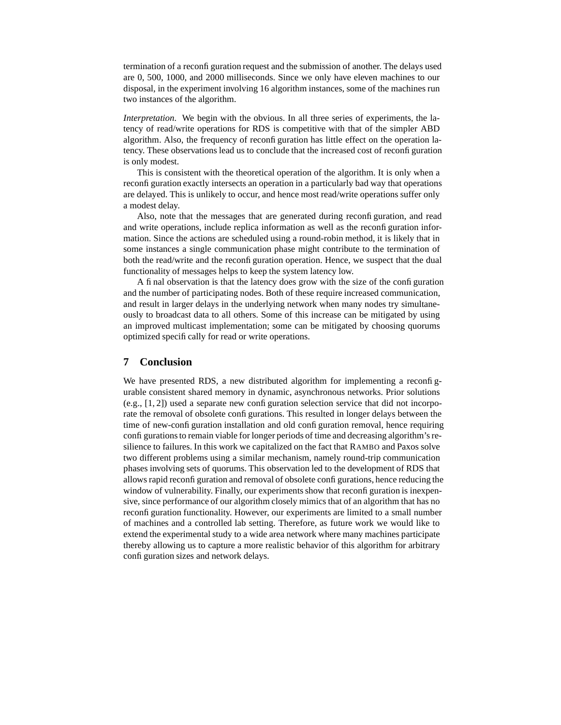termination of a reconfiguration request and the submission of another. The delays used are 0, 500, 1000, and 2000 milliseconds. Since we only have eleven machines to our disposal, in the experiment involving 16 algorithm instances, some of the machines run two instances of the algorithm.

*Interpretation.* We begin with the obvious. In all three series of experiments, the latency of read/write operations for RDS is competitive with that of the simpler ABD algorithm. Also, the frequency of reconfiguration has little effect on the operation latency. These observations lead us to conclude that the increased cost of reconfiguration is only modest.

This is consistent with the theoretical operation of the algorithm. It is only when a reconfiguration exactly intersects an operation in a particularly bad way that operations are delayed. This is unlikely to occur, and hence most read/write operations suffer only a modest delay.

Also, note that the messages that are generated during reconfiguration, and read and write operations, include replica information as well as the reconfiguration information. Since the actions are scheduled using a round-robin method, it is likely that in some instances a single communication phase might contribute to the termination of both the read/write and the reconfiguration operation. Hence, we suspect that the dual functionality of messages helps to keep the system latency low.

A final observation is that the latency does grow with the size of the configuration and the number of participating nodes. Both of these require increased communication, and result in larger delays in the underlying network when many nodes try simultaneously to broadcast data to all others. Some of this increase can be mitigated by using an improved multicast implementation; some can be mitigated by choosing quorums optimized specifically for read or write operations.

#### **7 Conclusion**

We have presented RDS, a new distributed algorithm for implementing a reconfigurable consistent shared memory in dynamic, asynchronous networks. Prior solutions (e.g., [1, 2]) used a separate new configuration selection service that did not incorporate the removal of obsolete configurations. This resulted in longer delays between the time of new-configuration installation and old configuration removal, hence requiring configurations to remain viable for longer periods of time and decreasing algorithm's resilience to failures. In this work we capitalized on the fact that RAMBO and Paxos solve two different problems using a similar mechanism, namely round-trip communication phases involving sets of quorums. This observation led to the development of RDS that allows rapid reconfiguration and removal of obsolete configurations, hence reducing the window of vulnerability. Finally, our experiments show that reconfiguration is inexpensive, since performance of our algorithm closely mimics that of an algorithm that has no reconfiguration functionality. However, our experiments are limited to a small number of machines and a controlled lab setting. Therefore, as future work we would like to extend the experimental study to a wide area network where many machines participate thereby allowing us to capture a more realistic behavior of this algorithm for arbitrary configuration sizes and network delays.